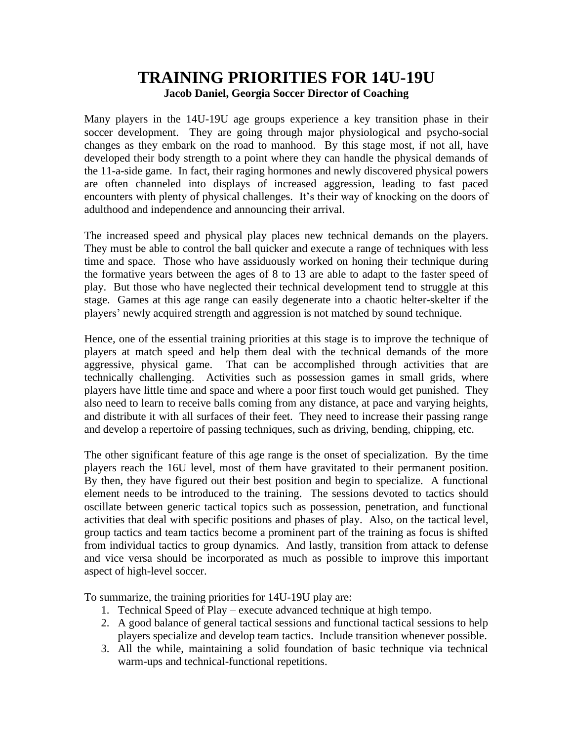# **TRAINING PRIORITIES FOR 14U-19U Jacob Daniel, Georgia Soccer Director of Coaching**

Many players in the 14U-19U age groups experience a key transition phase in their soccer development. They are going through major physiological and psycho-social changes as they embark on the road to manhood. By this stage most, if not all, have developed their body strength to a point where they can handle the physical demands of the 11-a-side game. In fact, their raging hormones and newly discovered physical powers are often channeled into displays of increased aggression, leading to fast paced encounters with plenty of physical challenges. It's their way of knocking on the doors of adulthood and independence and announcing their arrival.

The increased speed and physical play places new technical demands on the players. They must be able to control the ball quicker and execute a range of techniques with less time and space. Those who have assiduously worked on honing their technique during the formative years between the ages of 8 to 13 are able to adapt to the faster speed of play. But those who have neglected their technical development tend to struggle at this stage. Games at this age range can easily degenerate into a chaotic helter-skelter if the players' newly acquired strength and aggression is not matched by sound technique.

Hence, one of the essential training priorities at this stage is to improve the technique of players at match speed and help them deal with the technical demands of the more aggressive, physical game. That can be accomplished through activities that are technically challenging. Activities such as possession games in small grids, where players have little time and space and where a poor first touch would get punished. They also need to learn to receive balls coming from any distance, at pace and varying heights, and distribute it with all surfaces of their feet. They need to increase their passing range and develop a repertoire of passing techniques, such as driving, bending, chipping, etc.

The other significant feature of this age range is the onset of specialization. By the time players reach the 16U level, most of them have gravitated to their permanent position. By then, they have figured out their best position and begin to specialize. A functional element needs to be introduced to the training. The sessions devoted to tactics should oscillate between generic tactical topics such as possession, penetration, and functional activities that deal with specific positions and phases of play. Also, on the tactical level, group tactics and team tactics become a prominent part of the training as focus is shifted from individual tactics to group dynamics. And lastly, transition from attack to defense and vice versa should be incorporated as much as possible to improve this important aspect of high-level soccer.

To summarize, the training priorities for 14U-19U play are:

- 1. Technical Speed of Play execute advanced technique at high tempo.
- 2. A good balance of general tactical sessions and functional tactical sessions to help players specialize and develop team tactics. Include transition whenever possible.
- 3. All the while, maintaining a solid foundation of basic technique via technical warm-ups and technical-functional repetitions.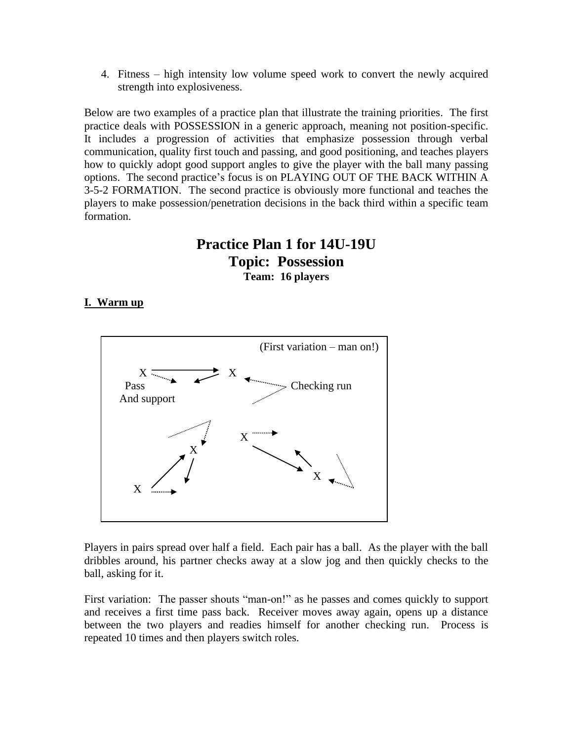4. Fitness – high intensity low volume speed work to convert the newly acquired strength into explosiveness.

Below are two examples of a practice plan that illustrate the training priorities. The first practice deals with POSSESSION in a generic approach, meaning not position-specific. It includes a progression of activities that emphasize possession through verbal communication, quality first touch and passing, and good positioning, and teaches players how to quickly adopt good support angles to give the player with the ball many passing options. The second practice's focus is on PLAYING OUT OF THE BACK WITHIN A 3-5-2 FORMATION. The second practice is obviously more functional and teaches the players to make possession/penetration decisions in the back third within a specific team formation.

# **Practice Plan 1 for 14U-19U Topic: Possession Team: 16 players**

## **I. Warm up**



Players in pairs spread over half a field. Each pair has a ball. As the player with the ball dribbles around, his partner checks away at a slow jog and then quickly checks to the ball, asking for it.

First variation: The passer shouts "man-on!" as he passes and comes quickly to support and receives a first time pass back. Receiver moves away again, opens up a distance between the two players and readies himself for another checking run. Process is repeated 10 times and then players switch roles.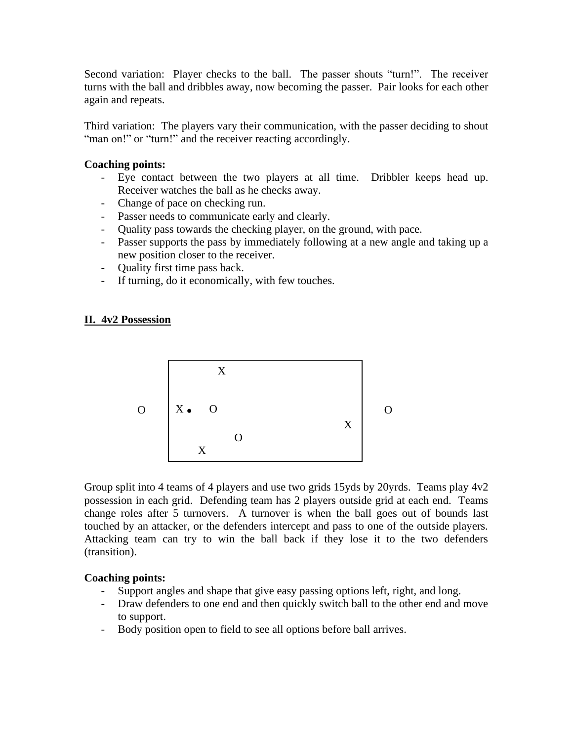Second variation: Player checks to the ball. The passer shouts "turn!". The receiver turns with the ball and dribbles away, now becoming the passer. Pair looks for each other again and repeats.

Third variation: The players vary their communication, with the passer deciding to shout "man on!" or "turn!" and the receiver reacting accordingly.

### **Coaching points:**

- Eye contact between the two players at all time. Dribbler keeps head up. Receiver watches the ball as he checks away.
- Change of pace on checking run.
- Passer needs to communicate early and clearly.
- Quality pass towards the checking player, on the ground, with pace.
- Passer supports the pass by immediately following at a new angle and taking up a new position closer to the receiver.
- Quality first time pass back.
- If turning, do it economically, with few touches.

## **II. 4v2 Possession**



Group split into 4 teams of 4 players and use two grids 15yds by 20yrds. Teams play 4v2 possession in each grid. Defending team has 2 players outside grid at each end. Teams change roles after 5 turnovers. A turnover is when the ball goes out of bounds last touched by an attacker, or the defenders intercept and pass to one of the outside players. Attacking team can try to win the ball back if they lose it to the two defenders (transition).

#### **Coaching points:**

- Support angles and shape that give easy passing options left, right, and long.
- Draw defenders to one end and then quickly switch ball to the other end and move to support.
- Body position open to field to see all options before ball arrives.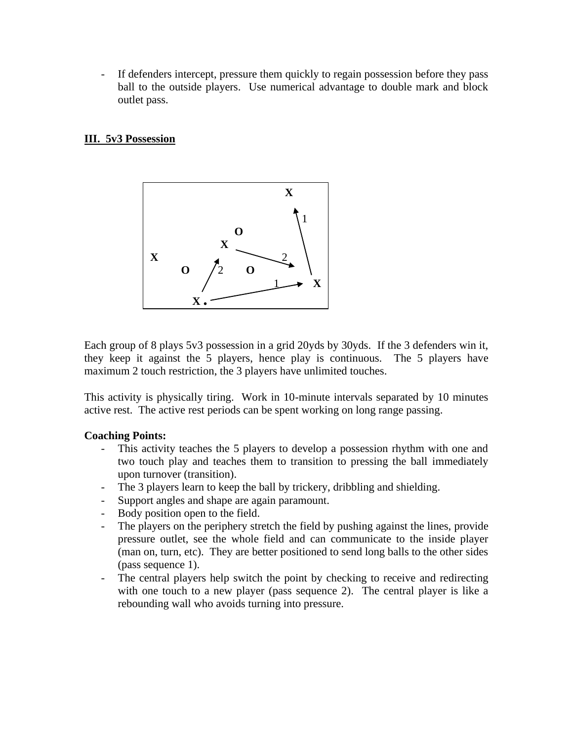- If defenders intercept, pressure them quickly to regain possession before they pass ball to the outside players. Use numerical advantage to double mark and block outlet pass.

## **III. 5v3 Possession**



Each group of 8 plays 5v3 possession in a grid 20yds by 30yds. If the 3 defenders win it, they keep it against the 5 players, hence play is continuous. The 5 players have maximum 2 touch restriction, the 3 players have unlimited touches.

This activity is physically tiring. Work in 10-minute intervals separated by 10 minutes active rest. The active rest periods can be spent working on long range passing.

## **Coaching Points:**

- This activity teaches the 5 players to develop a possession rhythm with one and two touch play and teaches them to transition to pressing the ball immediately upon turnover (transition).
- The 3 players learn to keep the ball by trickery, dribbling and shielding.
- Support angles and shape are again paramount.
- Body position open to the field.
- The players on the periphery stretch the field by pushing against the lines, provide pressure outlet, see the whole field and can communicate to the inside player (man on, turn, etc). They are better positioned to send long balls to the other sides (pass sequence 1).
- The central players help switch the point by checking to receive and redirecting with one touch to a new player (pass sequence 2). The central player is like a rebounding wall who avoids turning into pressure.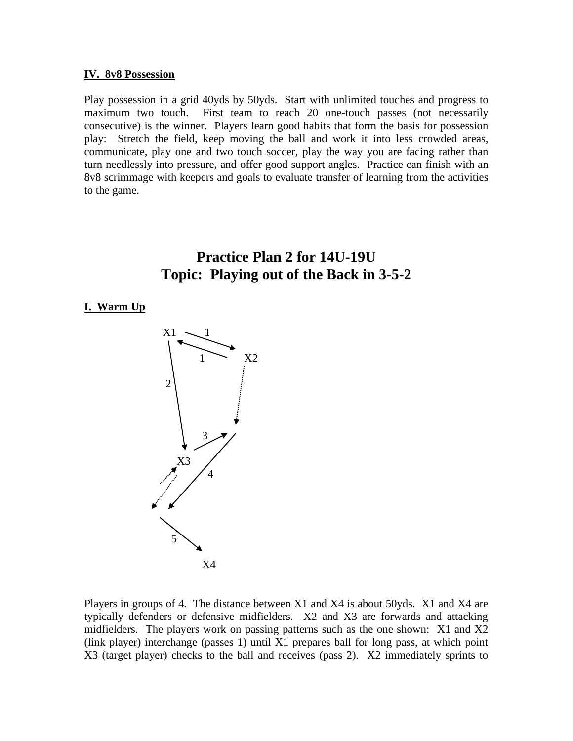#### **IV. 8v8 Possession**

Play possession in a grid 40yds by 50yds. Start with unlimited touches and progress to maximum two touch. First team to reach 20 one-touch passes (not necessarily consecutive) is the winner. Players learn good habits that form the basis for possession play: Stretch the field, keep moving the ball and work it into less crowded areas, communicate, play one and two touch soccer, play the way you are facing rather than turn needlessly into pressure, and offer good support angles. Practice can finish with an 8v8 scrimmage with keepers and goals to evaluate transfer of learning from the activities to the game.

# **Practice Plan 2 for 14U-19U Topic: Playing out of the Back in 3-5-2**

#### **I. Warm Up**



Players in groups of 4. The distance between X1 and X4 is about 50yds. X1 and X4 are typically defenders or defensive midfielders. X2 and X3 are forwards and attacking midfielders. The players work on passing patterns such as the one shown: X1 and X2 (link player) interchange (passes 1) until X1 prepares ball for long pass, at which point X3 (target player) checks to the ball and receives (pass 2). X2 immediately sprints to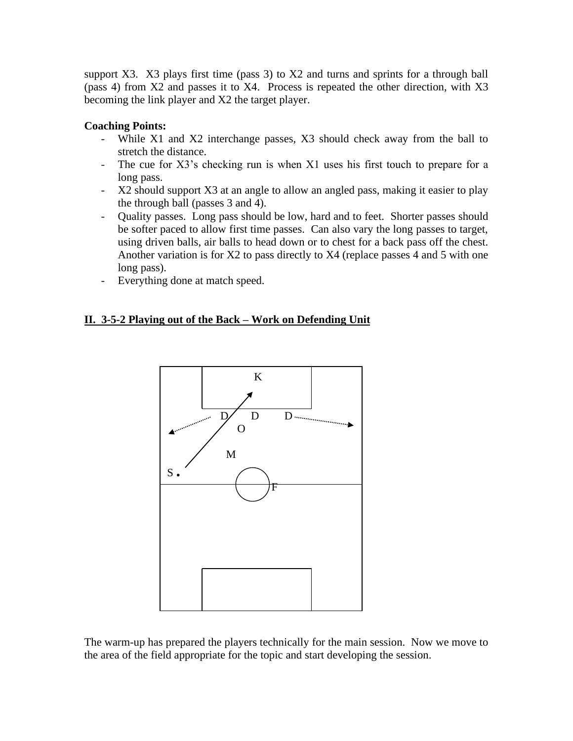support X3. X3 plays first time (pass 3) to X2 and turns and sprints for a through ball (pass 4) from X2 and passes it to X4. Process is repeated the other direction, with X3 becoming the link player and X2 the target player.

# **Coaching Points:**

- While X1 and X2 interchange passes, X3 should check away from the ball to stretch the distance.
- The cue for X3's checking run is when X1 uses his first touch to prepare for a long pass.
- X2 should support X3 at an angle to allow an angled pass, making it easier to play the through ball (passes 3 and 4).
- Quality passes. Long pass should be low, hard and to feet. Shorter passes should be softer paced to allow first time passes. Can also vary the long passes to target, using driven balls, air balls to head down or to chest for a back pass off the chest. Another variation is for X2 to pass directly to X4 (replace passes 4 and 5 with one long pass).
- Everything done at match speed.

# **II. 3-5-2 Playing out of the Back – Work on Defending Unit**



The warm-up has prepared the players technically for the main session. Now we move to the area of the field appropriate for the topic and start developing the session.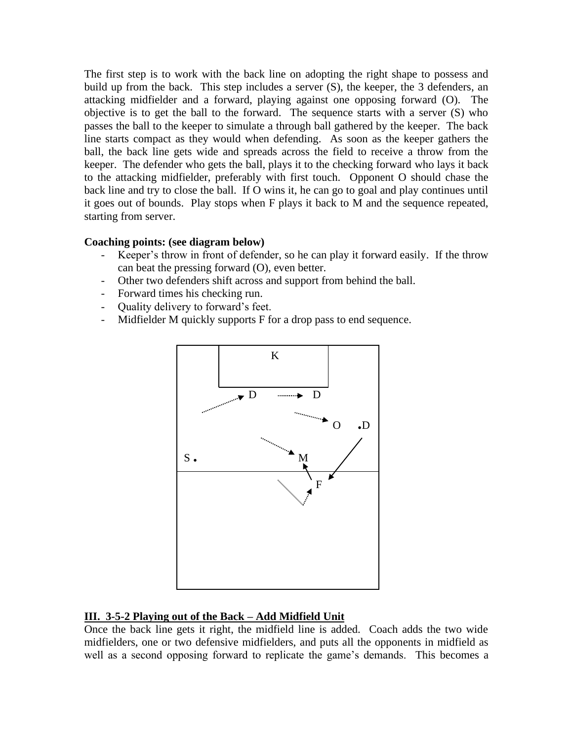The first step is to work with the back line on adopting the right shape to possess and build up from the back. This step includes a server (S), the keeper, the 3 defenders, an attacking midfielder and a forward, playing against one opposing forward (O). The objective is to get the ball to the forward. The sequence starts with a server (S) who passes the ball to the keeper to simulate a through ball gathered by the keeper. The back line starts compact as they would when defending. As soon as the keeper gathers the ball, the back line gets wide and spreads across the field to receive a throw from the keeper. The defender who gets the ball, plays it to the checking forward who lays it back to the attacking midfielder, preferably with first touch. Opponent O should chase the back line and try to close the ball. If O wins it, he can go to goal and play continues until it goes out of bounds. Play stops when F plays it back to M and the sequence repeated, starting from server.

## **Coaching points: (see diagram below)**

- Keeper's throw in front of defender, so he can play it forward easily. If the throw can beat the pressing forward (O), even better.
- Other two defenders shift across and support from behind the ball.
- Forward times his checking run.
- Quality delivery to forward's feet.
- Midfielder M quickly supports F for a drop pass to end sequence.



## **III. 3-5-2 Playing out of the Back – Add Midfield Unit**

Once the back line gets it right, the midfield line is added. Coach adds the two wide midfielders, one or two defensive midfielders, and puts all the opponents in midfield as well as a second opposing forward to replicate the game's demands. This becomes a